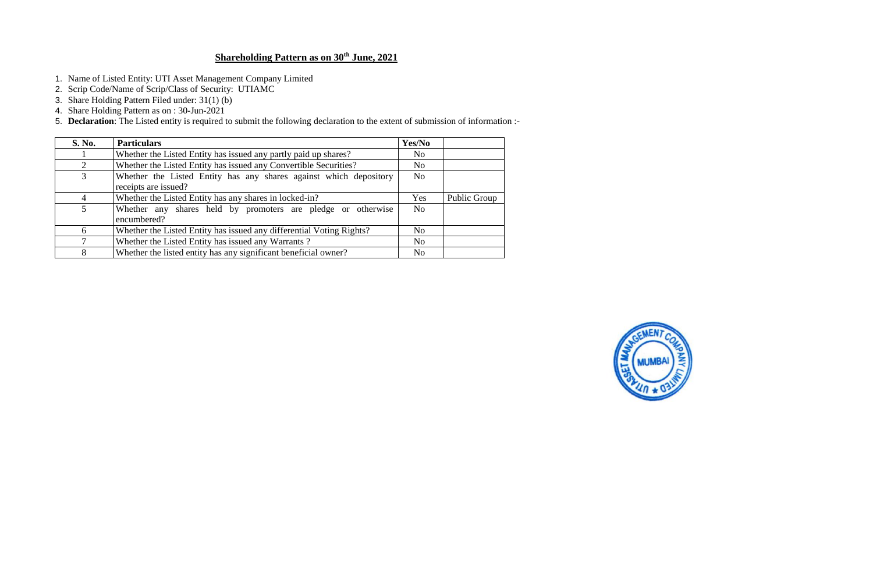# **Shareholding Pattern as on 30th June, 2021**

- 1. Name of Listed Entity: UTI Asset Management Company Limited
- 2. Scrip Code/Name of Scrip/Class of Security: UTIAMC
- 3. Share Holding Pattern Filed under: 31(1) (b)
- 4. Share Holding Pattern as on : 30-Jun-2021

5. **Declaration**: The Listed entity is required to submit the following declaration to the extent of submission of information :-

| <b>S. No.</b>  | <b>Particulars</b>                                                          | Yes/No         |              |
|----------------|-----------------------------------------------------------------------------|----------------|--------------|
|                | Whether the Listed Entity has issued any partly paid up shares?             | N <sub>0</sub> |              |
| 2              | Whether the Listed Entity has issued any Convertible Securities?            | N <sub>o</sub> |              |
| 3              | Whether the Listed Entity has any shares against which depository           | N <sub>o</sub> |              |
|                | receipts are issued?                                                        |                |              |
| $\overline{4}$ | Whether the Listed Entity has any shares in locked-in?                      | Yes            | Public Group |
| $\mathfrak{S}$ | Whether any shares held by promoters are pledge or otherwise<br>encumbered? | N <sub>o</sub> |              |
| -6             | Whether the Listed Entity has issued any differential Voting Rights?        | N <sub>0</sub> |              |
|                | Whether the Listed Entity has issued any Warrants?                          | N <sub>o</sub> |              |
| 8              | Whether the listed entity has any significant beneficial owner?             | N <sub>0</sub> |              |

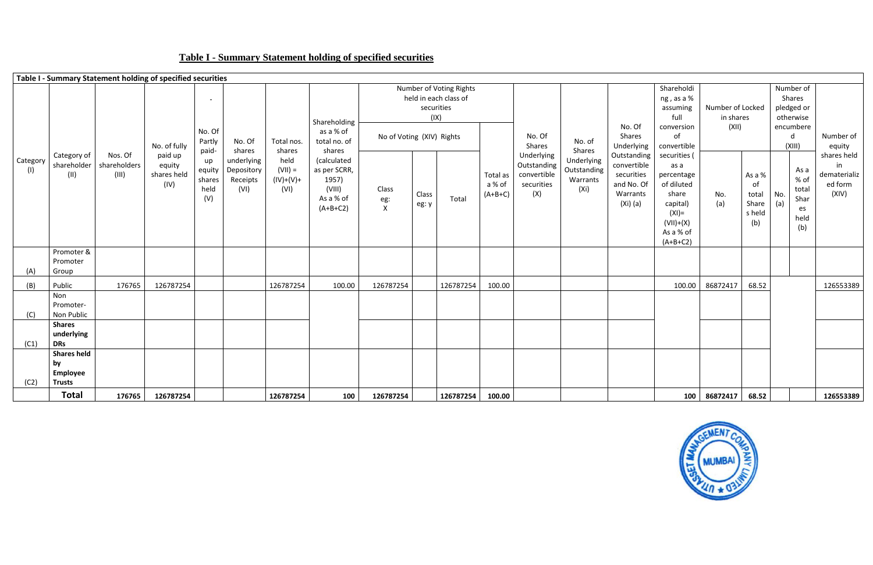# **Table I - Summary Statement holding of specified securities**



|                 |                                                       | Table I - Summary Statement holding of specified securities |                                          |                                       |                                              |                                          |                                                                           |                              |                    |                                                  |                                 |                                                               |                                               |                                                                                |                                                                                                                           |                               |                                                 |                                                                  |                                                       |
|-----------------|-------------------------------------------------------|-------------------------------------------------------------|------------------------------------------|---------------------------------------|----------------------------------------------|------------------------------------------|---------------------------------------------------------------------------|------------------------------|--------------------|--------------------------------------------------|---------------------------------|---------------------------------------------------------------|-----------------------------------------------|--------------------------------------------------------------------------------|---------------------------------------------------------------------------------------------------------------------------|-------------------------------|-------------------------------------------------|------------------------------------------------------------------|-------------------------------------------------------|
|                 |                                                       |                                                             |                                          | $\blacksquare$                        |                                              |                                          | Shareholding                                                              |                              | securities<br>(IX) | Number of Voting Rights<br>held in each class of |                                 |                                                               |                                               |                                                                                | Shareholdi<br>ng, as a %<br>assuming<br>full                                                                              | Number of Locked<br>in shares |                                                 | Number of<br>Shares<br>pledged or<br>otherwise                   |                                                       |
|                 |                                                       |                                                             | No. of fully                             | No. Of<br>Partly<br>paid-             | No. Of<br>shares                             | Total nos.<br>shares                     | as a % of<br>total no. of<br>shares                                       | No of Voting (XIV) Rights    |                    |                                                  |                                 | No. Of<br>Shares                                              | No. of<br>Shares                              | No. Of<br>Shares<br>Underlying                                                 | conversion<br>of<br>convertible                                                                                           | (XII)                         |                                                 | encumbere<br>d<br>(XIII)                                         | Number of<br>equity                                   |
| Category<br>(1) | Category of<br>shareholder<br>(II)                    | Nos. Of<br>shareholders<br>(III)                            | paid up<br>equity<br>shares held<br>(IV) | up<br>equity<br>shares<br>held<br>(V) | underlying<br>Depository<br>Receipts<br>(VI) | held<br>$(VII) =$<br>$(IV)+(V)+$<br>(VI) | (calculated<br>as per SCRR,<br>1957)<br>(VIII)<br>As a % of<br>$(A+B+C2)$ | Class<br>eg:<br>$\mathsf{X}$ | Class<br>eg: y     | Total                                            | Total as<br>a % of<br>$(A+B+C)$ | Underlying<br>Outstanding<br>convertible<br>securities<br>(X) | Underlying<br>Outstanding<br>Warrants<br>(Xi) | Outstanding<br>convertible<br>securities<br>and No. Of<br>Warrants<br>(Xi) (a) | securities<br>as a<br>percentage<br>of diluted<br>share<br>capital)<br>$(XI) =$<br>$(VII)+(X)$<br>As a % of<br>$(A+B+C2)$ | No.<br>(a)                    | As a %<br>0f<br>total<br>Share<br>s held<br>(b) | As a<br>% of<br>total<br>No.<br>Shar<br>(a)<br>es<br>held<br>(b) | shares held<br>in<br>dematerializ<br>ed form<br>(XIV) |
| (A)             | Promoter &<br>Promoter<br>Group                       |                                                             |                                          |                                       |                                              |                                          |                                                                           |                              |                    |                                                  |                                 |                                                               |                                               |                                                                                |                                                                                                                           |                               |                                                 |                                                                  |                                                       |
| (B)             | Public                                                | 176765                                                      | 126787254                                |                                       |                                              | 126787254                                | 100.00                                                                    | 126787254                    |                    | 126787254                                        | 100.00                          |                                                               |                                               |                                                                                | 100.00                                                                                                                    | 86872417                      | 68.52                                           |                                                                  | 126553389                                             |
| (C)             | Non<br>Promoter-<br>Non Public                        |                                                             |                                          |                                       |                                              |                                          |                                                                           |                              |                    |                                                  |                                 |                                                               |                                               |                                                                                |                                                                                                                           |                               |                                                 |                                                                  |                                                       |
| (C1)            | <b>Shares</b><br>underlying<br><b>DRs</b>             |                                                             |                                          |                                       |                                              |                                          |                                                                           |                              |                    |                                                  |                                 |                                                               |                                               |                                                                                |                                                                                                                           |                               |                                                 |                                                                  |                                                       |
| (C2)            | <b>Shares held</b><br>by<br>Employee<br><b>Trusts</b> |                                                             |                                          |                                       |                                              |                                          |                                                                           |                              |                    |                                                  |                                 |                                                               |                                               |                                                                                |                                                                                                                           |                               |                                                 |                                                                  |                                                       |
|                 | <b>Total</b>                                          | 176765                                                      | 126787254                                |                                       |                                              | 126787254                                | 100                                                                       | 126787254                    |                    | 126787254                                        | 100.00                          |                                                               |                                               |                                                                                |                                                                                                                           | 100 86872417                  | 68.52                                           |                                                                  | 126553389                                             |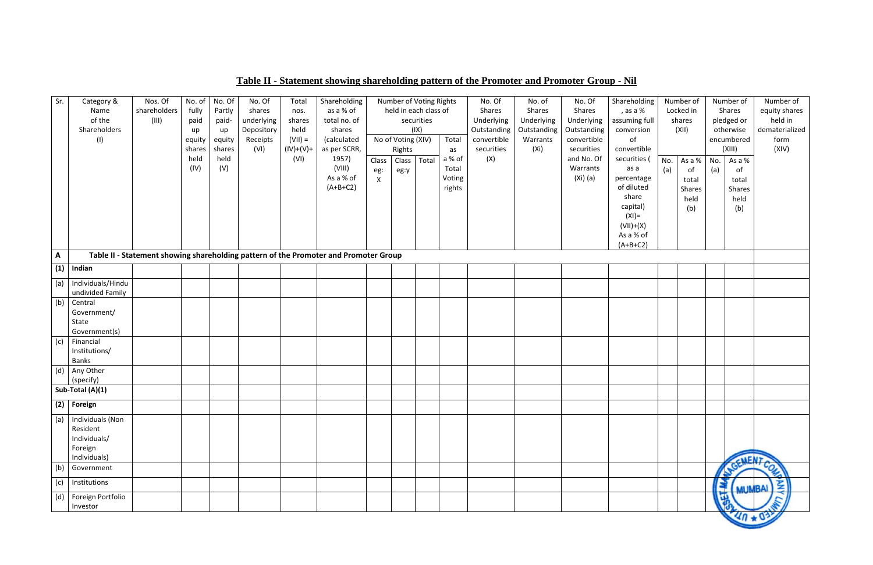# **Table II - Statement showing shareholding pattern of the Promoter and Promoter Group - Nil**

| Sr.          | Category &                 | Nos. Of      | No. of | No. Of | No. Of     | Total       | Shareholding                                                                         |              |                    | Number of Voting Rights |        | No. Of      | No. of      | No. Of      | Shareholding             |     | Number of |     | Number of     | Number of      |
|--------------|----------------------------|--------------|--------|--------|------------|-------------|--------------------------------------------------------------------------------------|--------------|--------------------|-------------------------|--------|-------------|-------------|-------------|--------------------------|-----|-----------|-----|---------------|----------------|
|              | Name                       | shareholders | fully  | Partly | shares     | nos.        | as a % of                                                                            |              |                    | held in each class of   |        | Shares      | Shares      | Shares      | , as a %                 |     | Locked in |     | Shares        | equity shares  |
|              | of the                     | (III)        | paid   | paid-  | underlying | shares      | total no. of                                                                         |              |                    | securities              |        | Underlying  | Underlying  | Underlying  | assuming full            |     | shares    |     | pledged or    | held in        |
|              | Shareholders               |              | up     | up     | Depository | held        | shares                                                                               |              |                    | (IX)                    |        | Outstanding | Outstanding | Outstanding | conversion               |     | (XII)     |     | otherwise     | dematerialized |
|              | (1)                        |              | equity | equity | Receipts   | $(VII) =$   | (calculated                                                                          |              | No of Voting (XIV) |                         | Total  | convertible | Warrants    | convertible | of                       |     |           |     | encumbered    | form           |
|              |                            |              | shares | shares | (VI)       | $(IV)+(V)+$ | as per SCRR,                                                                         |              | Rights             |                         | as     | securities  | (Xi)        | securities  | convertible              |     |           |     | (XIII)        | (XIV)          |
|              |                            |              | held   | held   |            | (VI)        | 1957)                                                                                | Class        | Class              | Total                   | a % of | (X)         |             | and No. Of  | securities (             | No. | As a %    | No. | As a %        |                |
|              |                            |              | (IV)   | (V)    |            |             | (VIII)                                                                               | eg:          | eg:y               |                         | Total  |             |             | Warrants    | as a                     | (a) | of        | (a) | of            |                |
|              |                            |              |        |        |            |             | As a % of<br>$(A+B+C2)$                                                              | $\mathsf{X}$ |                    |                         | Voting |             |             | (Xi) (a)    | percentage<br>of diluted |     | total     |     | total         |                |
|              |                            |              |        |        |            |             |                                                                                      |              |                    |                         | rights |             |             |             | share                    |     | Shares    |     | Shares        |                |
|              |                            |              |        |        |            |             |                                                                                      |              |                    |                         |        |             |             |             | capital)                 |     | held      |     | held          |                |
|              |                            |              |        |        |            |             |                                                                                      |              |                    |                         |        |             |             |             | $(XI) =$                 |     | (b)       |     | (b)           |                |
|              |                            |              |        |        |            |             |                                                                                      |              |                    |                         |        |             |             |             | $(VII)+(X)$              |     |           |     |               |                |
|              |                            |              |        |        |            |             |                                                                                      |              |                    |                         |        |             |             |             | As a % of                |     |           |     |               |                |
|              |                            |              |        |        |            |             |                                                                                      |              |                    |                         |        |             |             |             | $(A+B+C2)$               |     |           |     |               |                |
| $\mathsf{A}$ |                            |              |        |        |            |             | Table II - Statement showing shareholding pattern of the Promoter and Promoter Group |              |                    |                         |        |             |             |             |                          |     |           |     |               |                |
| (1)          | Indian                     |              |        |        |            |             |                                                                                      |              |                    |                         |        |             |             |             |                          |     |           |     |               |                |
| (a)          | Individuals/Hindu          |              |        |        |            |             |                                                                                      |              |                    |                         |        |             |             |             |                          |     |           |     |               |                |
|              | undivided Family           |              |        |        |            |             |                                                                                      |              |                    |                         |        |             |             |             |                          |     |           |     |               |                |
| (b)          | Central                    |              |        |        |            |             |                                                                                      |              |                    |                         |        |             |             |             |                          |     |           |     |               |                |
|              | Government/                |              |        |        |            |             |                                                                                      |              |                    |                         |        |             |             |             |                          |     |           |     |               |                |
|              | State                      |              |        |        |            |             |                                                                                      |              |                    |                         |        |             |             |             |                          |     |           |     |               |                |
|              | Government(s)<br>Financial |              |        |        |            |             |                                                                                      |              |                    |                         |        |             |             |             |                          |     |           |     |               |                |
| (c)          | Institutions/              |              |        |        |            |             |                                                                                      |              |                    |                         |        |             |             |             |                          |     |           |     |               |                |
|              | Banks                      |              |        |        |            |             |                                                                                      |              |                    |                         |        |             |             |             |                          |     |           |     |               |                |
| (d)          | Any Other                  |              |        |        |            |             |                                                                                      |              |                    |                         |        |             |             |             |                          |     |           |     |               |                |
|              | (specify)                  |              |        |        |            |             |                                                                                      |              |                    |                         |        |             |             |             |                          |     |           |     |               |                |
|              | Sub-Total (A)(1)           |              |        |        |            |             |                                                                                      |              |                    |                         |        |             |             |             |                          |     |           |     |               |                |
|              | $(2)$ Foreign              |              |        |        |            |             |                                                                                      |              |                    |                         |        |             |             |             |                          |     |           |     |               |                |
|              | (a)   Individuals (Non     |              |        |        |            |             |                                                                                      |              |                    |                         |        |             |             |             |                          |     |           |     |               |                |
|              | Resident                   |              |        |        |            |             |                                                                                      |              |                    |                         |        |             |             |             |                          |     |           |     |               |                |
|              | Individuals/               |              |        |        |            |             |                                                                                      |              |                    |                         |        |             |             |             |                          |     |           |     |               |                |
|              | Foreign                    |              |        |        |            |             |                                                                                      |              |                    |                         |        |             |             |             |                          |     |           |     |               |                |
|              | Individuals)               |              |        |        |            |             |                                                                                      |              |                    |                         |        |             |             |             |                          |     |           |     | <b>NENT</b>   |                |
| (b)          | Government                 |              |        |        |            |             |                                                                                      |              |                    |                         |        |             |             |             |                          |     |           |     |               | COL            |
| (c)          | Institutions               |              |        |        |            |             |                                                                                      |              |                    |                         |        |             |             |             |                          |     |           |     | <b>MUMBAI</b> | 圣              |
| (d)          | Foreign Portfolio          |              |        |        |            |             |                                                                                      |              |                    |                         |        |             |             |             |                          |     |           |     |               |                |
|              | Investor                   |              |        |        |            |             |                                                                                      |              |                    |                         |        |             |             |             |                          |     |           |     |               |                |
|              |                            |              |        |        |            |             |                                                                                      |              |                    |                         |        |             |             |             |                          |     |           |     | $40 * 03$     |                |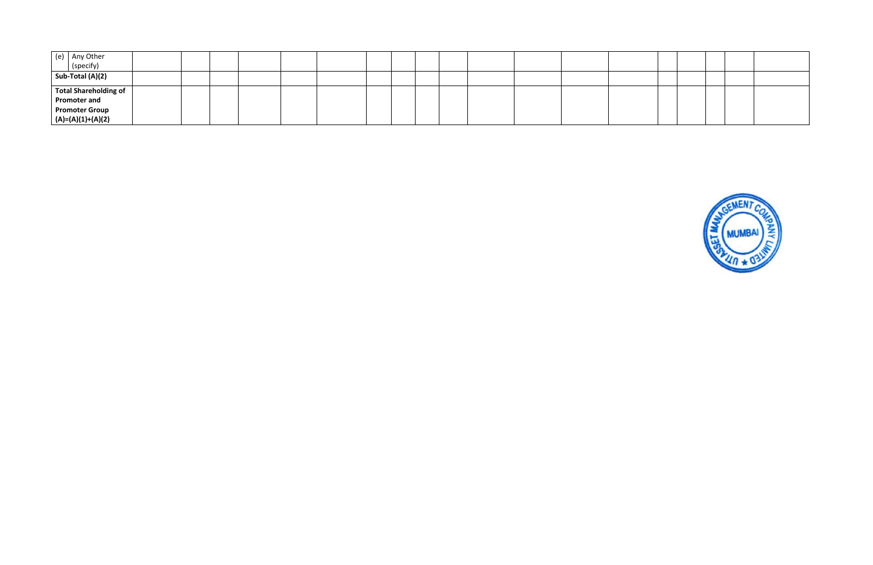| (e) Any Other<br>(specify)<br><b>Sub-Total (A)(2)</b> |  |  |  |  |  |
|-------------------------------------------------------|--|--|--|--|--|
|                                                       |  |  |  |  |  |
|                                                       |  |  |  |  |  |
|                                                       |  |  |  |  |  |
| Total Shareholding of                                 |  |  |  |  |  |
| Promoter and                                          |  |  |  |  |  |
| <b>Promoter Group</b>                                 |  |  |  |  |  |
| $ (A)=(A)(1)+(A)(2)$                                  |  |  |  |  |  |

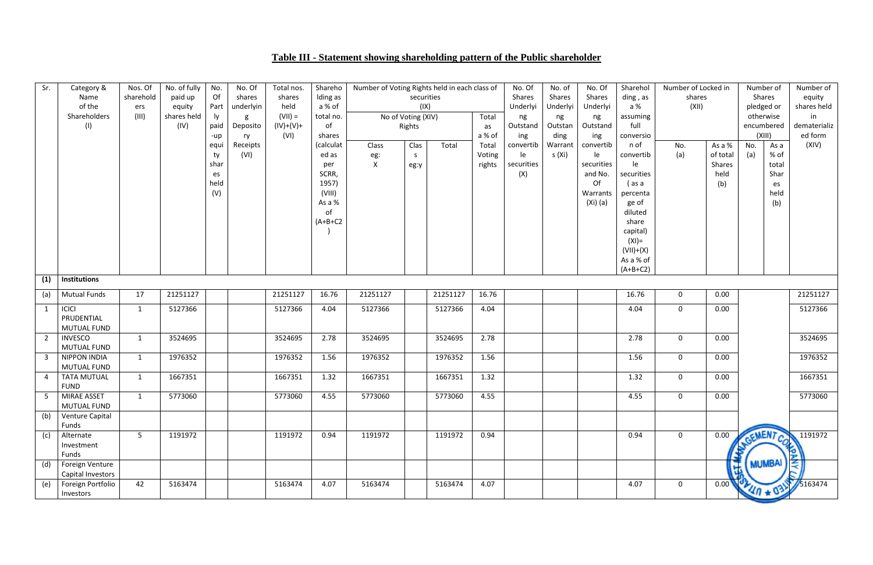# **Table III - Statement showing shareholding pattern of the Public shareholder**

| Sr.            | Category &                           | Nos. Of        | No. of fully | No.        | No. Of           | Total nos.  | Shareho             | Number of Voting Rights held in each class of |            |          |        | No. Of           | No. of            | No. Of           | Sharehol          | Number of Locked in |                           | Number of       |               | Number of             |
|----------------|--------------------------------------|----------------|--------------|------------|------------------|-------------|---------------------|-----------------------------------------------|------------|----------|--------|------------------|-------------------|------------------|-------------------|---------------------|---------------------------|-----------------|---------------|-----------------------|
|                | Name                                 | sharehold      | paid up      | Of         | shares           | shares      | Iding as            |                                               | securities |          |        | Shares           | Shares            | Shares           | ding, as          | shares              |                           | Shares          |               | equity                |
|                | of the                               | ers            | equity       | Part       | underlyin        | held        | a % of              |                                               | (IX)       |          |        | Underlyi         | Underlyi          | Underlyi         | a %               | (XII)               |                           | pledged or      |               | shares held           |
|                | Shareholders                         | (III)          | shares held  | ly.        | g                | $(VII) =$   | total no.           | No of Voting (XIV)                            |            |          | Total  | ng               | ng                | ng               | assuming          |                     |                           | otherwise       |               | in                    |
|                | (1)                                  |                | (IV)         | paid       | Deposito         | $(IV)+(V)+$ | of                  |                                               | Rights     |          | as     | Outstand         | Outstan           | Outstand         | full              |                     |                           | encumbered      |               | dematerializ          |
|                |                                      |                |              | -up        | ry               | (VI)        | shares<br>(calculat |                                               |            |          | a % of | ing              | ding              | ing<br>convertib | conversio<br>n of |                     |                           | (XIII)          |               | ed form<br>(XIV)      |
|                |                                      |                |              | equi       | Receipts<br>(VI) |             | ed as               | Class                                         | Clas       | Total    | Total  | convertib        | Warrant<br>s (Xi) |                  | convertib         | No.                 | As a %                    | No.             | As a<br>% of  |                       |
|                |                                      |                |              | ty<br>shar |                  |             |                     | eg:<br>$\mathsf{X}$                           | S          |          | Voting | le<br>securities |                   | le<br>securities | le                | (a)                 | of total<br><b>Shares</b> | (a)             | total         |                       |
|                |                                      |                |              |            |                  |             | per<br>SCRR,        |                                               | eg:y       |          | rights | (X)              |                   | and No.          | securities        |                     | held                      |                 | Shar          |                       |
|                |                                      |                |              | es<br>held |                  |             | 1957)               |                                               |            |          |        |                  |                   | Of               | (as a             |                     |                           |                 |               |                       |
|                |                                      |                |              | (V)        |                  |             | (VIII)              |                                               |            |          |        |                  |                   | Warrants         | percenta          |                     | (b)                       |                 | es<br>held    |                       |
|                |                                      |                |              |            |                  |             | As a %              |                                               |            |          |        |                  |                   | $(Xi)$ (a)       | ge of             |                     |                           |                 | (b)           |                       |
|                |                                      |                |              |            |                  |             | of                  |                                               |            |          |        |                  |                   |                  | diluted           |                     |                           |                 |               |                       |
|                |                                      |                |              |            |                  |             | $(A+B+C2$           |                                               |            |          |        |                  |                   |                  | share             |                     |                           |                 |               |                       |
|                |                                      |                |              |            |                  |             |                     |                                               |            |          |        |                  |                   |                  | capital)          |                     |                           |                 |               |                       |
|                |                                      |                |              |            |                  |             |                     |                                               |            |          |        |                  |                   |                  | $(XI) =$          |                     |                           |                 |               |                       |
|                |                                      |                |              |            |                  |             |                     |                                               |            |          |        |                  |                   |                  | $(VII)+(X)$       |                     |                           |                 |               |                       |
|                |                                      |                |              |            |                  |             |                     |                                               |            |          |        |                  |                   |                  | As a % of         |                     |                           |                 |               |                       |
|                |                                      |                |              |            |                  |             |                     |                                               |            |          |        |                  |                   |                  | $(A+B+C2)$        |                     |                           |                 |               |                       |
| (1)            | <b>Institutions</b>                  |                |              |            |                  |             |                     |                                               |            |          |        |                  |                   |                  |                   |                     |                           |                 |               |                       |
| (a)            | <b>Mutual Funds</b>                  | 17             | 21251127     |            |                  | 21251127    | 16.76               | 21251127                                      |            | 21251127 | 16.76  |                  |                   |                  | 16.76             | $\mathbf 0$         | 0.00                      |                 |               | 21251127              |
| $\mathbf{1}$   | <b>ICICI</b>                         | $\mathbf{1}$   | 5127366      |            |                  | 5127366     | 4.04                | 5127366                                       |            | 5127366  | 4.04   |                  |                   |                  | 4.04              | $\mathbf 0$         | 0.00                      |                 |               | 5127366               |
|                | PRUDENTIAL                           |                |              |            |                  |             |                     |                                               |            |          |        |                  |                   |                  |                   |                     |                           |                 |               |                       |
|                | <b>MUTUAL FUND</b>                   |                |              |            |                  |             |                     |                                               |            |          |        |                  |                   |                  |                   |                     |                           |                 |               |                       |
| $\overline{2}$ | <b>INVESCO</b>                       | $\mathbf{1}$   | 3524695      |            |                  | 3524695     | 2.78                | 3524695                                       |            | 3524695  | 2.78   |                  |                   |                  | 2.78              | $\mathbf 0$         | 0.00                      |                 |               | 3524695               |
|                | MUTUAL FUND                          |                |              |            |                  |             |                     |                                               |            |          |        |                  |                   |                  |                   |                     |                           |                 |               |                       |
| 3              | <b>NIPPON INDIA</b>                  | $\mathbf{1}$   | 1976352      |            |                  | 1976352     | 1.56                | 1976352                                       |            | 1976352  | 1.56   |                  |                   |                  | 1.56              | $\mathbf 0$         | 0.00                      |                 |               | 1976352               |
|                | MUTUAL FUND                          |                |              |            |                  |             |                     |                                               |            |          |        |                  |                   |                  |                   |                     |                           |                 |               |                       |
| 4              | <b>TATA MUTUAL</b>                   | $\mathbf{1}$   | 1667351      |            |                  | 1667351     | 1.32                | 1667351                                       |            | 1667351  | 1.32   |                  |                   |                  | 1.32              | $\mathbf 0$         | 0.00                      |                 |               | 1667351               |
|                | <b>FUND</b>                          |                |              |            |                  |             |                     |                                               |            |          |        |                  |                   |                  |                   |                     |                           |                 |               |                       |
| 5              | MIRAE ASSET                          | 1              | 5773060      |            |                  | 5773060     | 4.55                | 5773060                                       |            | 5773060  | 4.55   |                  |                   |                  | 4.55              | $\mathbf 0$         | 0.00                      |                 |               | 5773060               |
|                | MUTUAL FUND                          |                |              |            |                  |             |                     |                                               |            |          |        |                  |                   |                  |                   |                     |                           |                 |               |                       |
| (b)            | Venture Capital                      |                |              |            |                  |             |                     |                                               |            |          |        |                  |                   |                  |                   |                     |                           |                 |               |                       |
|                | Funds                                |                |              |            |                  |             |                     |                                               |            |          |        |                  |                   |                  |                   |                     |                           |                 |               |                       |
| (c)            | Alternate                            | 5 <sup>5</sup> | 1191972      |            |                  | 1191972     | 0.94                | 1191972                                       |            | 1191972  | 0.94   |                  |                   |                  | 0.94              | $\mathbf 0$         | 0.00                      | GEMENT CO       |               | 1191972               |
|                | Investment                           |                |              |            |                  |             |                     |                                               |            |          |        |                  |                   |                  |                   |                     |                           |                 |               |                       |
|                | Funds                                |                |              |            |                  |             |                     |                                               |            |          |        |                  |                   |                  |                   |                     |                           |                 | <b>MUMBAI</b> |                       |
| (d)            | Foreign Venture<br>Capital Investors |                |              |            |                  |             |                     |                                               |            |          |        |                  |                   |                  |                   |                     | $\mathbf{E}$              |                 |               |                       |
| (e)            | Foreign Portfolio                    | 42             | 5163474      |            |                  | 5163474     | 4.07                | 5163474                                       |            | 5163474  | 4.07   |                  |                   |                  | 4.07              | $\mathbf 0$         | 0.00                      |                 |               | $\frac{1}{3}$ 5163474 |
|                | Investors                            |                |              |            |                  |             |                     |                                               |            |          |        |                  |                   |                  |                   |                     |                           | <b>MA * 034</b> |               |                       |
|                |                                      |                |              |            |                  |             |                     |                                               |            |          |        |                  |                   |                  |                   |                     |                           |                 |               |                       |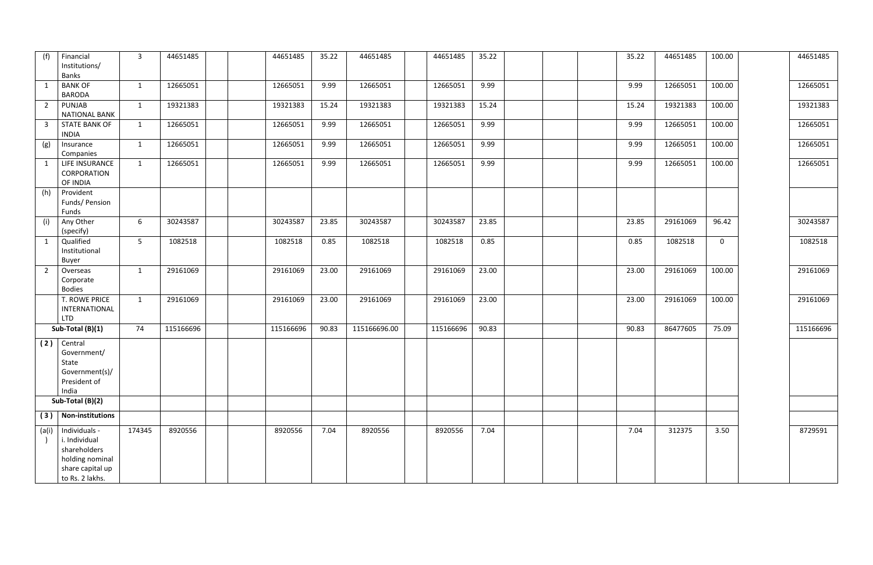| (f)<br>Financial                       | $\mathbf{3}$   | 44651485  | 44651485  | 35.22 | 44651485     | 44651485  | 35.22 |  | 35.22 | 44651485 | 100.00       | 44651485  |
|----------------------------------------|----------------|-----------|-----------|-------|--------------|-----------|-------|--|-------|----------|--------------|-----------|
| Institutions/                          |                |           |           |       |              |           |       |  |       |          |              |           |
| Banks                                  |                |           |           |       |              |           |       |  |       |          |              |           |
| <b>BANK OF</b><br>$\mathbf{1}$         | $\mathbf{1}$   | 12665051  | 12665051  | 9.99  | 12665051     | 12665051  | 9.99  |  | 9.99  | 12665051 | 100.00       | 12665051  |
| <b>BARODA</b>                          |                |           |           |       |              |           |       |  |       |          |              |           |
|                                        |                |           |           |       |              |           |       |  |       |          |              |           |
| $\overline{2}$<br>PUNJAB               | $\mathbf{1}$   | 19321383  | 19321383  | 15.24 | 19321383     | 19321383  | 15.24 |  | 15.24 | 19321383 | 100.00       | 19321383  |
| <b>NATIONAL BANK</b>                   |                |           |           |       |              |           |       |  |       |          |              |           |
| $\overline{3}$<br><b>STATE BANK OF</b> | $\mathbf{1}$   | 12665051  | 12665051  | 9.99  | 12665051     | 12665051  | 9.99  |  | 9.99  | 12665051 | 100.00       | 12665051  |
| <b>INDIA</b>                           |                |           |           |       |              |           |       |  |       |          |              |           |
| Insurance                              | $\mathbf{1}$   | 12665051  | 12665051  | 9.99  | 12665051     | 12665051  | 9.99  |  | 9.99  | 12665051 | 100.00       | 12665051  |
| (g)                                    |                |           |           |       |              |           |       |  |       |          |              |           |
| Companies                              |                |           |           |       |              |           |       |  |       |          |              |           |
| LIFE INSURANCE                         | $\mathbf{1}$   | 12665051  | 12665051  | 9.99  | 12665051     | 12665051  | 9.99  |  | 9.99  | 12665051 | 100.00       | 12665051  |
| CORPORATION                            |                |           |           |       |              |           |       |  |       |          |              |           |
| OF INDIA                               |                |           |           |       |              |           |       |  |       |          |              |           |
| Provident<br>(h)                       |                |           |           |       |              |           |       |  |       |          |              |           |
|                                        |                |           |           |       |              |           |       |  |       |          |              |           |
| Funds/ Pension                         |                |           |           |       |              |           |       |  |       |          |              |           |
| Funds                                  |                |           |           |       |              |           |       |  |       |          |              |           |
| Any Other<br>(i)                       | 6              | 30243587  | 30243587  | 23.85 | 30243587     | 30243587  | 23.85 |  | 23.85 | 29161069 | 96.42        | 30243587  |
| (specify)                              |                |           |           |       |              |           |       |  |       |          |              |           |
| Qualified<br>$\mathbf{1}$              | 5 <sub>1</sub> | 1082518   | 1082518   | 0.85  | 1082518      | 1082518   | 0.85  |  | 0.85  | 1082518  | $\mathsf{O}$ | 1082518   |
| Institutional                          |                |           |           |       |              |           |       |  |       |          |              |           |
|                                        |                |           |           |       |              |           |       |  |       |          |              |           |
| <b>Buyer</b>                           |                |           |           |       |              |           |       |  |       |          |              |           |
| $\overline{2}$<br>Overseas             | $\mathbf{1}$   | 29161069  | 29161069  | 23.00 | 29161069     | 29161069  | 23.00 |  | 23.00 | 29161069 | 100.00       | 29161069  |
| Corporate                              |                |           |           |       |              |           |       |  |       |          |              |           |
| <b>Bodies</b>                          |                |           |           |       |              |           |       |  |       |          |              |           |
| T. ROWE PRICE                          | $\mathbf{1}$   | 29161069  | 29161069  | 23.00 | 29161069     | 29161069  | 23.00 |  | 23.00 | 29161069 | 100.00       | 29161069  |
|                                        |                |           |           |       |              |           |       |  |       |          |              |           |
| INTERNATIONAL                          |                |           |           |       |              |           |       |  |       |          |              |           |
| <b>LTD</b>                             |                |           |           |       |              |           |       |  |       |          |              |           |
| Sub-Total (B)(1)                       | 74             | 115166696 | 115166696 | 90.83 | 115166696.00 | 115166696 | 90.83 |  | 90.83 | 86477605 | 75.09        | 115166696 |
|                                        |                |           |           |       |              |           |       |  |       |          |              |           |
| Central<br>(2)                         |                |           |           |       |              |           |       |  |       |          |              |           |
| Government/                            |                |           |           |       |              |           |       |  |       |          |              |           |
| State                                  |                |           |           |       |              |           |       |  |       |          |              |           |
| Government(s)/                         |                |           |           |       |              |           |       |  |       |          |              |           |
| President of                           |                |           |           |       |              |           |       |  |       |          |              |           |
|                                        |                |           |           |       |              |           |       |  |       |          |              |           |
| India                                  |                |           |           |       |              |           |       |  |       |          |              |           |
| Sub-Total (B)(2)                       |                |           |           |       |              |           |       |  |       |          |              |           |
| <b>Non-institutions</b>                |                |           |           |       |              |           |       |  |       |          |              |           |
| (3)                                    |                |           |           |       |              |           |       |  |       |          |              |           |
| (a(i))<br>Individuals -                | 174345         | 8920556   | 8920556   | 7.04  | 8920556      | 8920556   | 7.04  |  | 7.04  | 312375   | 3.50         | 8729591   |
| i. Individual                          |                |           |           |       |              |           |       |  |       |          |              |           |
|                                        |                |           |           |       |              |           |       |  |       |          |              |           |
| shareholders                           |                |           |           |       |              |           |       |  |       |          |              |           |
| holding nominal                        |                |           |           |       |              |           |       |  |       |          |              |           |
| share capital up                       |                |           |           |       |              |           |       |  |       |          |              |           |
| to Rs. 2 lakhs.                        |                |           |           |       |              |           |       |  |       |          |              |           |
|                                        |                |           |           |       |              |           |       |  |       |          |              |           |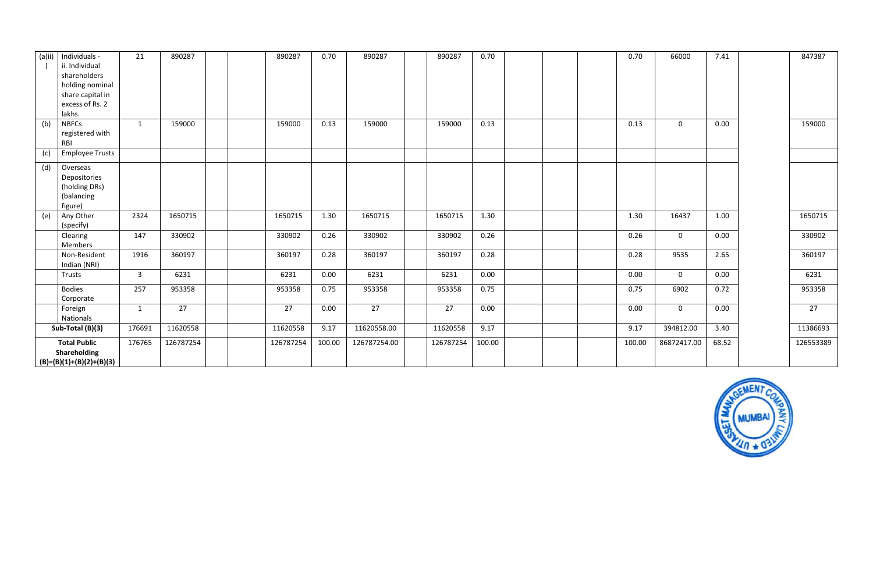| (a(i)) | Individuals -<br>ii. Individual<br>shareholders<br>holding nominal<br>share capital in<br>excess of Rs. 2<br>lakhs. | 21             | 890287    | 890287    | 0.70   | 890287       | 890287    | 0.70   |  | 0.70   | 66000       | 7.41  | 847387    |
|--------|---------------------------------------------------------------------------------------------------------------------|----------------|-----------|-----------|--------|--------------|-----------|--------|--|--------|-------------|-------|-----------|
| (b)    | <b>NBFCs</b><br>registered with<br>RBI                                                                              | $\mathbf{1}$   | 159000    | 159000    | 0.13   | 159000       | 159000    | 0.13   |  | 0.13   | $\mathbf 0$ | 0.00  | 159000    |
| (c)    | <b>Employee Trusts</b>                                                                                              |                |           |           |        |              |           |        |  |        |             |       |           |
| (d)    | Overseas<br>Depositories<br>(holding DRs)<br>(balancing<br>figure)                                                  |                |           |           |        |              |           |        |  |        |             |       |           |
| (e)    | Any Other<br>(specify)                                                                                              | 2324           | 1650715   | 1650715   | 1.30   | 1650715      | 1650715   | 1.30   |  | 1.30   | 16437       | 1.00  | 1650715   |
|        | Clearing<br>Members                                                                                                 | 147            | 330902    | 330902    | 0.26   | 330902       | 330902    | 0.26   |  | 0.26   | $\mathbf 0$ | 0.00  | 330902    |
|        | Non-Resident<br>Indian (NRI)                                                                                        | 1916           | 360197    | 360197    | 0.28   | 360197       | 360197    | 0.28   |  | 0.28   | 9535        | 2.65  | 360197    |
|        | Trusts                                                                                                              | $\overline{3}$ | 6231      | 6231      | 0.00   | 6231         | 6231      | 0.00   |  | 0.00   | $\mathbf 0$ | 0.00  | 6231      |
|        | <b>Bodies</b><br>Corporate                                                                                          | 257            | 953358    | 953358    | 0.75   | 953358       | 953358    | 0.75   |  | 0.75   | 6902        | 0.72  | 953358    |
|        | Foreign<br>Nationals                                                                                                | $\mathbf{1}$   | 27        | 27        | 0.00   | 27           | 27        | 0.00   |  | 0.00   | $\mathbf 0$ | 0.00  | 27        |
|        | Sub-Total (B)(3)                                                                                                    | 176691         | 11620558  | 11620558  | 9.17   | 11620558.00  | 11620558  | 9.17   |  | 9.17   | 394812.00   | 3.40  | 11386693  |
|        | <b>Total Public</b><br>Shareholding<br>$(B)=(B)(1)+(B)(2)+(B)(3)$                                                   | 176765         | 126787254 | 126787254 | 100.00 | 126787254.00 | 126787254 | 100.00 |  | 100.00 | 86872417.00 | 68.52 | 126553389 |

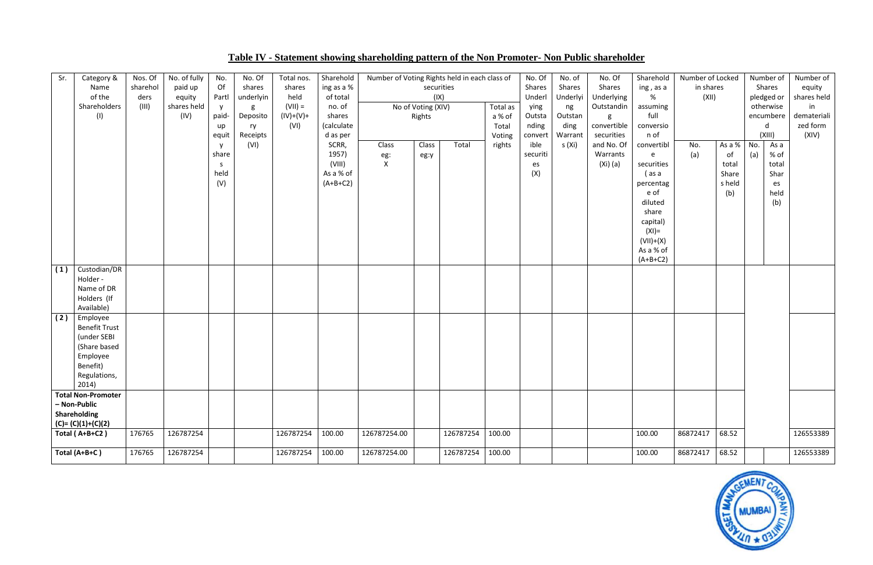| Sr. | Category &<br>Name<br>of the<br>Shareholders<br>(1)                                                              | Nos. Of<br>sharehol<br>ders<br>(III) | No. of fully<br>paid up<br>equity<br>shares held<br>(IV) | No.<br>Of<br>Partl<br><b>y</b><br>paid-<br>up<br>equit | No. Of<br>shares<br>underlyin<br>g<br>Deposito<br>ry<br>Receipts | Total nos.<br>shares<br>held<br>$(VII) =$<br>$(IV)+(V)+$<br>(VI) | Sharehold<br>ing as a %<br>of total<br>no. of<br>shares<br>(calculate<br>d as per | Number of Voting Rights held in each class of | securities<br>(IX)<br>No of Voting (XIV)<br>Rights |           | Total as<br>a % of<br>Total<br>Voting | No. Of<br>Shares<br>Underl<br>ying<br>Outsta<br>nding<br>convert | No. of<br>Shares<br>Underlyi<br>ng<br>Outstan<br>ding<br>Warrant | No. Of<br>Shares<br>Underlying<br>Outstandin<br>g<br>convertible<br>securities | Sharehold<br>ing, as a<br>%<br>assuming<br>full<br>conversio<br>n of                                                                              | Number of Locked<br>in shares<br>(XII) |                                                 |            | Number of<br>Shares<br>pledged or<br>otherwise<br>encumbere<br>d<br>(XIII) | Number of<br>equity<br>shares held<br>in<br>demateriali<br>zed form<br>(XIV) |
|-----|------------------------------------------------------------------------------------------------------------------|--------------------------------------|----------------------------------------------------------|--------------------------------------------------------|------------------------------------------------------------------|------------------------------------------------------------------|-----------------------------------------------------------------------------------|-----------------------------------------------|----------------------------------------------------|-----------|---------------------------------------|------------------------------------------------------------------|------------------------------------------------------------------|--------------------------------------------------------------------------------|---------------------------------------------------------------------------------------------------------------------------------------------------|----------------------------------------|-------------------------------------------------|------------|----------------------------------------------------------------------------|------------------------------------------------------------------------------|
|     |                                                                                                                  |                                      |                                                          | y<br>share<br>S.<br>held<br>(V)                        | (VI)                                                             |                                                                  | SCRR,<br>1957)<br>(VIII)<br>As a % of<br>$(A+B+C2)$                               | Class<br>eg:<br>$\mathsf{X}^-$                | Class<br>eg:y                                      | Total     | rights                                | ible<br>securiti<br>es<br>(X)                                    | s (Xi)                                                           | and No. Of<br>Warrants<br>(Xi) (a)                                             | convertibl<br>e<br>securities<br>(as a<br>percentag<br>e of<br>diluted<br>share<br>capital)<br>$(XI) =$<br>$(VII)+(X)$<br>As a % of<br>$(A+B+C2)$ | No.<br>(a)                             | As a %<br>of<br>total<br>Share<br>s held<br>(b) | No.<br>(a) | As a<br>$%$ of<br>total<br>Shar<br>es<br>held<br>(b)                       |                                                                              |
| (1) | Custodian/DR<br>Holder -<br>Name of DR<br>Holders (If<br>Available)                                              |                                      |                                                          |                                                        |                                                                  |                                                                  |                                                                                   |                                               |                                                    |           |                                       |                                                                  |                                                                  |                                                                                |                                                                                                                                                   |                                        |                                                 |            |                                                                            |                                                                              |
| (2) | Employee<br><b>Benefit Trust</b><br>(under SEBI<br>(Share based<br>Employee<br>Benefit)<br>Regulations,<br>2014) |                                      |                                                          |                                                        |                                                                  |                                                                  |                                                                                   |                                               |                                                    |           |                                       |                                                                  |                                                                  |                                                                                |                                                                                                                                                   |                                        |                                                 |            |                                                                            |                                                                              |
|     | <b>Total Non-Promoter</b>                                                                                        |                                      |                                                          |                                                        |                                                                  |                                                                  |                                                                                   |                                               |                                                    |           |                                       |                                                                  |                                                                  |                                                                                |                                                                                                                                                   |                                        |                                                 |            |                                                                            |                                                                              |
|     | - Non-Public<br>Shareholding<br>$(C)=(C)(1)+(C)(2)$                                                              |                                      |                                                          |                                                        |                                                                  |                                                                  |                                                                                   |                                               |                                                    |           |                                       |                                                                  |                                                                  |                                                                                |                                                                                                                                                   |                                        |                                                 |            |                                                                            |                                                                              |
|     | Total (A+B+C2)                                                                                                   | 176765                               | 126787254                                                |                                                        |                                                                  | 126787254                                                        | 100.00                                                                            | 126787254.00                                  |                                                    | 126787254 | 100.00                                |                                                                  |                                                                  |                                                                                | 100.00                                                                                                                                            | 86872417                               | 68.52                                           |            |                                                                            | 126553389                                                                    |
|     | Total (A+B+C)                                                                                                    | 176765                               | 126787254                                                |                                                        |                                                                  | 126787254                                                        | 100.00                                                                            | 126787254.00                                  |                                                    | 126787254 | 100.00                                |                                                                  |                                                                  |                                                                                | 100.00                                                                                                                                            | 86872417                               | 68.52                                           |            |                                                                            | 126553389                                                                    |